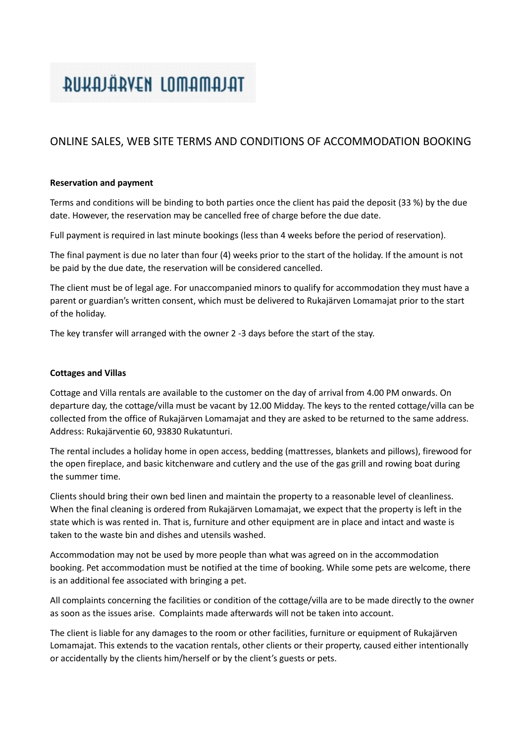# RUKAJÄRVEN LOMAMAJAT

### ONLINE SALES, WEB SITE TERMS AND CONDITIONS OF ACCOMMODATION BOOKING

### **Reservation and payment**

Terms and conditions will be binding to both parties once the client has paid the deposit (33 %) by the due date. However, the reservation may be cancelled free of charge before the due date.

Full payment is required in last minute bookings (less than 4 weeks before the period of reservation).

The final payment is due no later than four (4) weeks prior to the start of the holiday. If the amount is not be paid by the due date, the reservation will be considered cancelled.

The client must be of legal age. For unaccompanied minors to qualify for accommodation they must have a parent or guardian's written consent, which must be delivered to Rukajärven Lomamajat prior to the start of the holiday.

The key transfer will arranged with the owner 2 -3 days before the start of the stay.

### **Cottages and Villas**

Cottage and Villa rentals are available to the customer on the day of arrival from 4.00 PM onwards. On departure day, the cottage/villa must be vacant by 12.00 Midday. The keys to the rented cottage/villa can be collected from the office of Rukajärven Lomamajat and they are asked to be returned to the same address. Address: Rukajärventie 60, 93830 Rukatunturi.

The rental includes a holiday home in open access, bedding (mattresses, blankets and pillows), firewood for the open fireplace, and basic kitchenware and cutlery and the use of the gas grill and rowing boat during the summer time.

Clients should bring their own bed linen and maintain the property to a reasonable level of cleanliness. When the final cleaning is ordered from Rukajärven Lomamajat, we expect that the property is left in the state which is was rented in. That is, furniture and other equipment are in place and intact and waste is taken to the waste bin and dishes and utensils washed.

Accommodation may not be used by more people than what was agreed on in the accommodation booking. Pet accommodation must be notified at the time of booking. While some pets are welcome, there is an additional fee associated with bringing a pet.

All complaints concerning the facilities or condition of the cottage/villa are to be made directly to the owner as soon as the issues arise. Complaints made afterwards will not be taken into account.

The client is liable for any damages to the room or other facilities, furniture or equipment of Rukajärven Lomamajat. This extends to the vacation rentals, other clients or their property, caused either intentionally or accidentally by the clients him/herself or by the client's guests or pets.